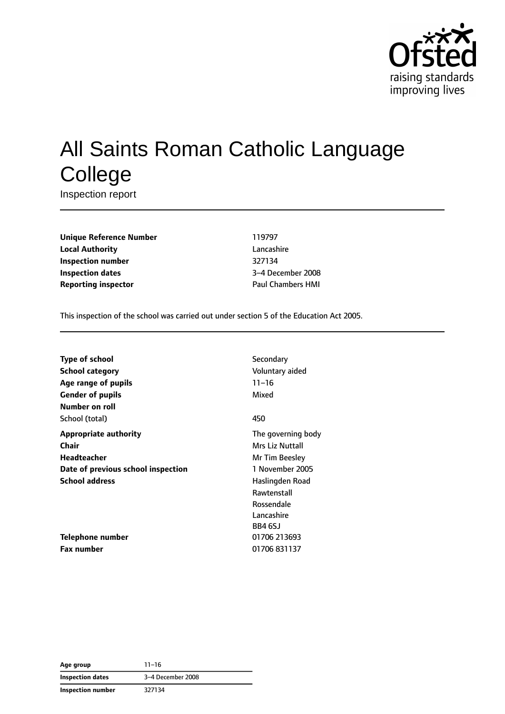

# All Saints Roman Catholic Language **College**

Inspection report

**Unique Reference Number** 119797 **Local Authority** Lancashire **Inspection number** 327134 **Inspection dates** 3–4 December 2008 **Reporting inspector CONSERVING PAUL CHAMPER HMI** 

This inspection of the school was carried out under section 5 of the Education Act 2005.

| Type of school                     | Secondary          |
|------------------------------------|--------------------|
| <b>School category</b>             | Voluntary aided    |
| Age range of pupils                | $11 - 16$          |
| <b>Gender of pupils</b>            | Mixed              |
| Number on roll                     |                    |
| School (total)                     | 450                |
| <b>Appropriate authority</b>       | The governing body |
| Chair                              | Mrs Liz Nuttall    |
| <b>Headteacher</b>                 | Mr Tim Beesley     |
| Date of previous school inspection | 1 November 2005    |
| <b>School address</b>              | Haslingden Road    |
|                                    | Rawtenstall        |
|                                    | Rossendale         |
|                                    | Lancashire         |
|                                    | BB4 6SJ            |
| Telephone number                   | 01706 213693       |
| <b>Fax number</b>                  | 01706 831137       |

**Age group** 11–16 **Inspection dates** 3–4 December 2008 **Inspection number** 327134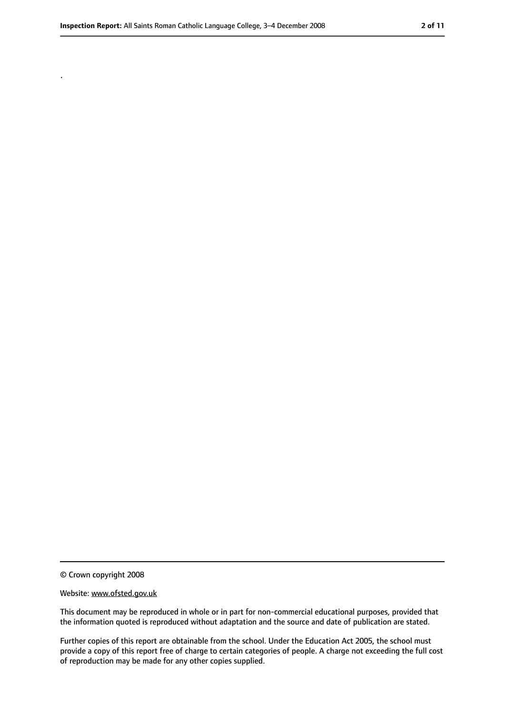.

<sup>©</sup> Crown copyright 2008

Website: www.ofsted.gov.uk

This document may be reproduced in whole or in part for non-commercial educational purposes, provided that the information quoted is reproduced without adaptation and the source and date of publication are stated.

Further copies of this report are obtainable from the school. Under the Education Act 2005, the school must provide a copy of this report free of charge to certain categories of people. A charge not exceeding the full cost of reproduction may be made for any other copies supplied.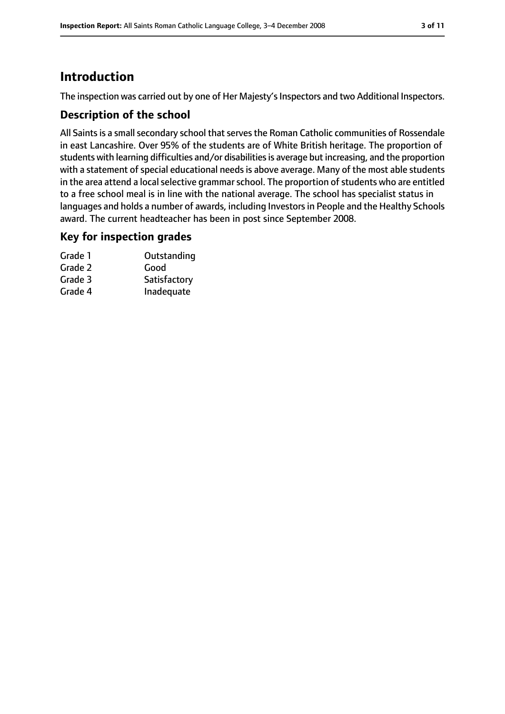## **Introduction**

The inspection was carried out by one of Her Majesty's Inspectors and two Additional Inspectors.

#### **Description of the school**

All Saints is a small secondary school that serves the Roman Catholic communities of Rossendale in east Lancashire. Over 95% of the students are of White British heritage. The proportion of students with learning difficulties and/or disabilities is average but increasing, and the proportion with a statement of special educational needs is above average. Many of the most able students in the area attend a local selective grammar school. The proportion of students who are entitled to a free school meal is in line with the national average. The school has specialist status in languages and holds a number of awards, including Investorsin People and the Healthy Schools award. The current headteacher has been in post since September 2008.

#### **Key for inspection grades**

| Grade 1 | Outstanding  |
|---------|--------------|
| Grade 2 | Good         |
| Grade 3 | Satisfactory |
| Grade 4 | Inadequate   |
|         |              |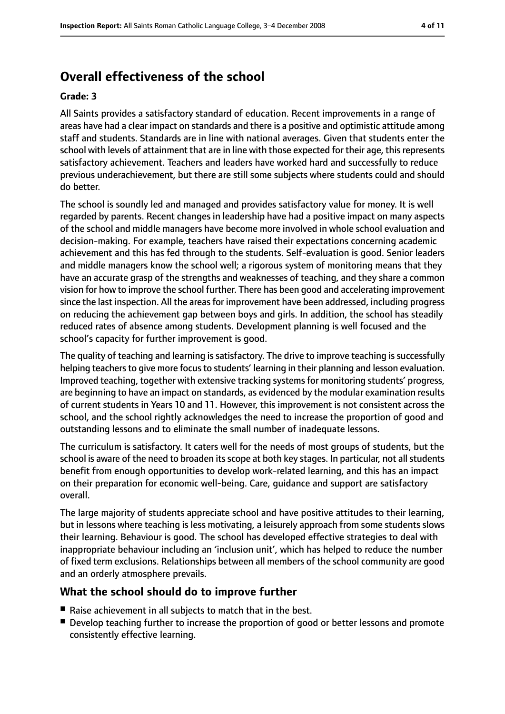## **Overall effectiveness of the school**

#### **Grade: 3**

All Saints provides a satisfactory standard of education. Recent improvements in a range of areas have had a clear impact on standards and there is a positive and optimistic attitude among staff and students. Standards are in line with national averages. Given that students enter the school with levels of attainment that are in line with those expected for their age, this represents satisfactory achievement. Teachers and leaders have worked hard and successfully to reduce previous underachievement, but there are still some subjects where students could and should do better.

The school is soundly led and managed and provides satisfactory value for money. It is well regarded by parents. Recent changes in leadership have had a positive impact on many aspects of the school and middle managers have become more involved in whole school evaluation and decision-making. For example, teachers have raised their expectations concerning academic achievement and this has fed through to the students. Self-evaluation is good. Senior leaders and middle managers know the school well; a rigorous system of monitoring means that they have an accurate grasp of the strengths and weaknesses of teaching, and they share a common vision for how to improve the school further. There has been good and accelerating improvement since the last inspection. All the areas for improvement have been addressed, including progress on reducing the achievement gap between boys and girls. In addition, the school has steadily reduced rates of absence among students. Development planning is well focused and the school's capacity for further improvement is good.

The quality of teaching and learning is satisfactory. The drive to improve teaching is successfully helping teachers to give more focus to students' learning in their planning and lesson evaluation. Improved teaching, together with extensive tracking systems for monitoring students' progress, are beginning to have an impact on standards, as evidenced by the modular examination results of current students in Years 10 and 11. However, this improvement is not consistent across the school, and the school rightly acknowledges the need to increase the proportion of good and outstanding lessons and to eliminate the small number of inadequate lessons.

The curriculum is satisfactory. It caters well for the needs of most groups of students, but the school is aware of the need to broaden its scope at both key stages. In particular, not all students benefit from enough opportunities to develop work-related learning, and this has an impact on their preparation for economic well-being. Care, guidance and support are satisfactory overall.

The large majority of students appreciate school and have positive attitudes to their learning, but in lessons where teaching is less motivating, a leisurely approach from some students slows their learning. Behaviour is good. The school has developed effective strategies to deal with inappropriate behaviour including an 'inclusion unit', which has helped to reduce the number of fixed term exclusions. Relationships between all members of the school community are good and an orderly atmosphere prevails.

#### **What the school should do to improve further**

- Raise achievement in all subjects to match that in the best.
- Develop teaching further to increase the proportion of good or better lessons and promote consistently effective learning.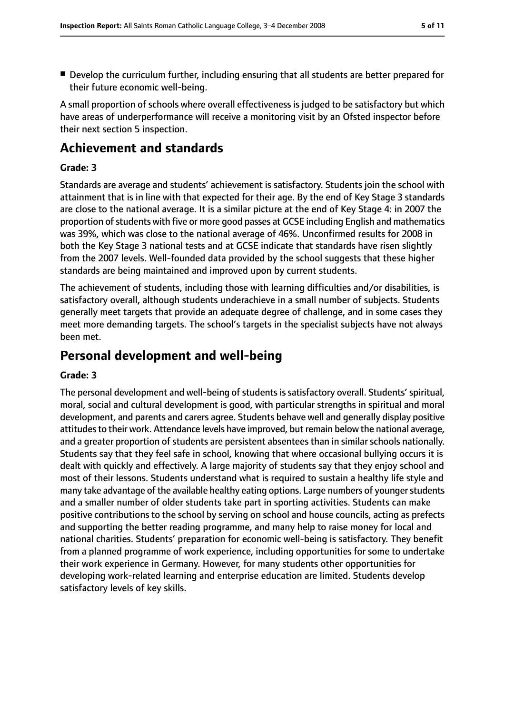■ Develop the curriculum further, including ensuring that all students are better prepared for their future economic well-being.

A small proportion of schools where overall effectiveness is judged to be satisfactory but which have areas of underperformance will receive a monitoring visit by an Ofsted inspector before their next section 5 inspection.

## **Achievement and standards**

#### **Grade: 3**

Standards are average and students' achievement is satisfactory. Students join the school with attainment that is in line with that expected for their age. By the end of Key Stage 3 standards are close to the national average. It is a similar picture at the end of Key Stage 4: in 2007 the proportion of students with five or more good passes at GCSE including English and mathematics was 39%, which was close to the national average of 46%. Unconfirmed results for 2008 in both the Key Stage 3 national tests and at GCSE indicate that standards have risen slightly from the 2007 levels. Well-founded data provided by the school suggests that these higher standards are being maintained and improved upon by current students.

The achievement of students, including those with learning difficulties and/or disabilities, is satisfactory overall, although students underachieve in a small number of subjects. Students generally meet targets that provide an adequate degree of challenge, and in some cases they meet more demanding targets. The school's targets in the specialist subjects have not always been met.

### **Personal development and well-being**

#### **Grade: 3**

The personal development and well-being of students is satisfactory overall. Students' spiritual, moral, social and cultural development is good, with particular strengths in spiritual and moral development, and parents and carers agree. Students behave well and generally display positive attitudes to their work. Attendance levels have improved, but remain below the national average, and a greater proportion of students are persistent absentees than in similar schools nationally. Students say that they feel safe in school, knowing that where occasional bullying occurs it is dealt with quickly and effectively. A large majority of students say that they enjoy school and most of their lessons. Students understand what is required to sustain a healthy life style and many take advantage of the available healthy eating options. Large numbers of younger students and a smaller number of older students take part in sporting activities. Students can make positive contributions to the school by serving on school and house councils, acting as prefects and supporting the better reading programme, and many help to raise money for local and national charities. Students' preparation for economic well-being is satisfactory. They benefit from a planned programme of work experience, including opportunities for some to undertake their work experience in Germany. However, for many students other opportunities for developing work-related learning and enterprise education are limited. Students develop satisfactory levels of key skills.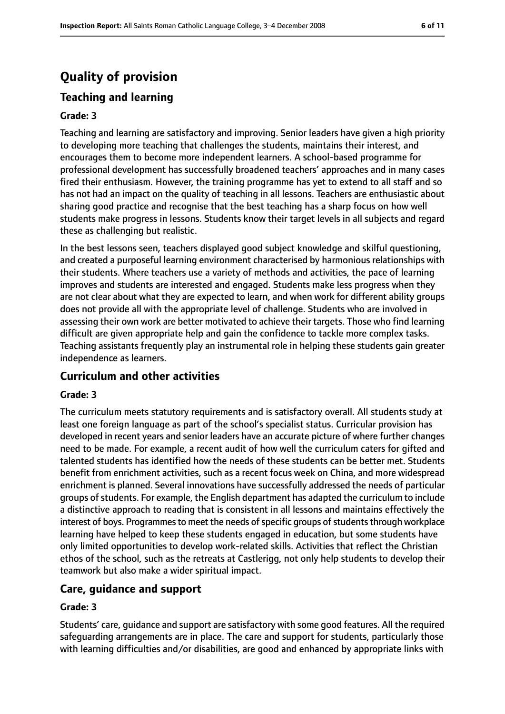## **Quality of provision**

## **Teaching and learning**

#### **Grade: 3**

Teaching and learning are satisfactory and improving. Senior leaders have given a high priority to developing more teaching that challenges the students, maintains their interest, and encourages them to become more independent learners. A school-based programme for professional development has successfully broadened teachers' approaches and in many cases fired their enthusiasm. However, the training programme has yet to extend to all staff and so has not had an impact on the quality of teaching in all lessons. Teachers are enthusiastic about sharing good practice and recognise that the best teaching has a sharp focus on how well students make progress in lessons. Students know their target levels in all subjects and regard these as challenging but realistic.

In the best lessons seen, teachers displayed good subject knowledge and skilful questioning, and created a purposeful learning environment characterised by harmonious relationships with their students. Where teachers use a variety of methods and activities, the pace of learning improves and students are interested and engaged. Students make less progress when they are not clear about what they are expected to learn, and when work for different ability groups does not provide all with the appropriate level of challenge. Students who are involved in assessing their own work are better motivated to achieve their targets. Those who find learning difficult are given appropriate help and gain the confidence to tackle more complex tasks. Teaching assistants frequently play an instrumental role in helping these students gain greater independence as learners.

#### **Curriculum and other activities**

#### **Grade: 3**

The curriculum meets statutory requirements and is satisfactory overall. All students study at least one foreign language as part of the school's specialist status. Curricular provision has developed in recent years and senior leaders have an accurate picture of where further changes need to be made. For example, a recent audit of how well the curriculum caters for gifted and talented students has identified how the needs of these students can be better met. Students benefit from enrichment activities, such as a recent focus week on China, and more widespread enrichment is planned. Several innovations have successfully addressed the needs of particular groups of students. For example, the English department has adapted the curriculum to include a distinctive approach to reading that is consistent in all lessons and maintains effectively the interest of boys. Programmes to meet the needs of specific groups of students through workplace learning have helped to keep these students engaged in education, but some students have only limited opportunities to develop work-related skills. Activities that reflect the Christian ethos of the school, such as the retreats at Castlerigg, not only help students to develop their teamwork but also make a wider spiritual impact.

#### **Care, guidance and support**

#### **Grade: 3**

Students' care, guidance and support are satisfactory with some good features. All the required safeguarding arrangements are in place. The care and support for students, particularly those with learning difficulties and/or disabilities, are good and enhanced by appropriate links with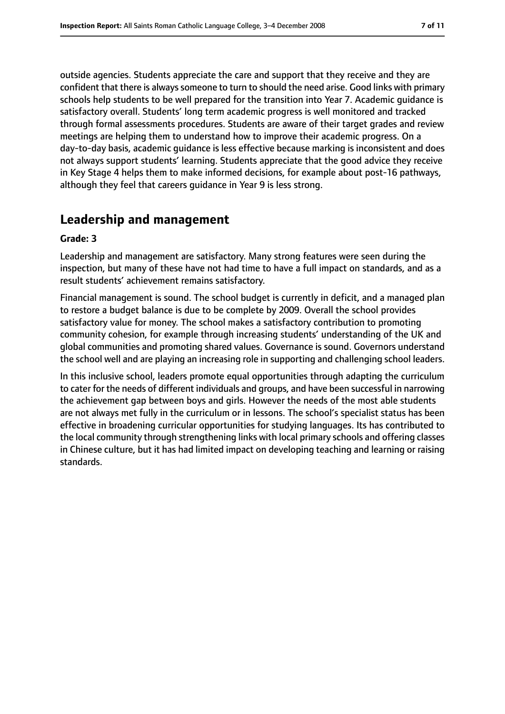outside agencies. Students appreciate the care and support that they receive and they are confident that there is always someone to turn to should the need arise. Good links with primary schools help students to be well prepared for the transition into Year 7. Academic guidance is satisfactory overall. Students' long term academic progress is well monitored and tracked through formal assessments procedures. Students are aware of their target grades and review meetings are helping them to understand how to improve their academic progress. On a day-to-day basis, academic guidance is less effective because marking is inconsistent and does not always support students' learning. Students appreciate that the good advice they receive in Key Stage 4 helps them to make informed decisions, for example about post-16 pathways, although they feel that careers guidance in Year 9 is less strong.

## **Leadership and management**

#### **Grade: 3**

Leadership and management are satisfactory. Many strong features were seen during the inspection, but many of these have not had time to have a full impact on standards, and as a result students' achievement remains satisfactory.

Financial management is sound. The school budget is currently in deficit, and a managed plan to restore a budget balance is due to be complete by 2009. Overall the school provides satisfactory value for money. The school makes a satisfactory contribution to promoting community cohesion, for example through increasing students' understanding of the UK and global communities and promoting shared values. Governance is sound. Governors understand the school well and are playing an increasing role in supporting and challenging school leaders.

In this inclusive school, leaders promote equal opportunities through adapting the curriculum to cater for the needs of different individuals and groups, and have been successful in narrowing the achievement gap between boys and girls. However the needs of the most able students are not always met fully in the curriculum or in lessons. The school's specialist status has been effective in broadening curricular opportunities for studying languages. Its has contributed to the local community through strengthening links with local primary schools and offering classes in Chinese culture, but it has had limited impact on developing teaching and learning or raising standards.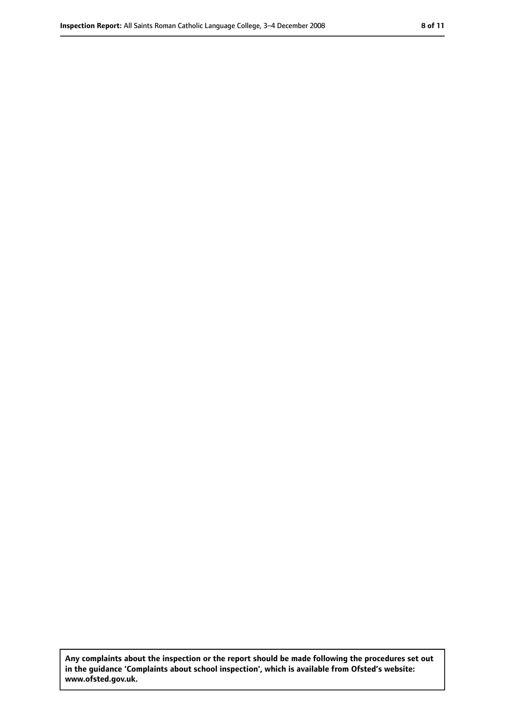**Any complaints about the inspection or the report should be made following the procedures set out in the guidance 'Complaints about school inspection', which is available from Ofsted's website: www.ofsted.gov.uk.**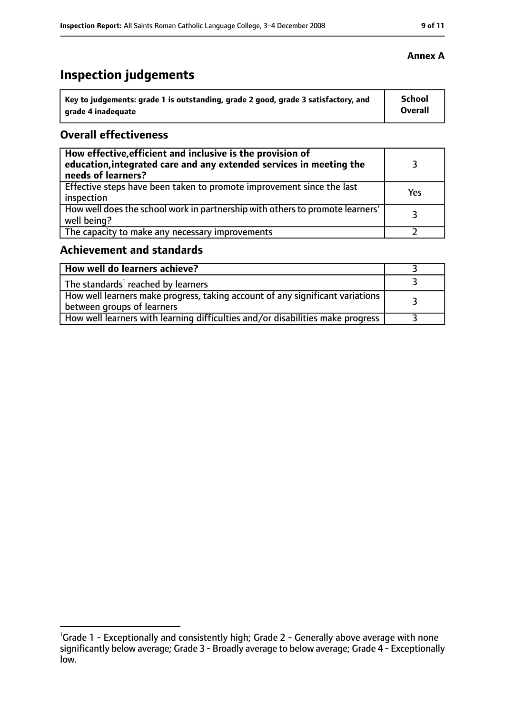## **Inspection judgements**

| Key to judgements: grade 1 is outstanding, grade 2 good, grade 3 satisfactory, and | School  |
|------------------------------------------------------------------------------------|---------|
| arade 4 inadequate                                                                 | Overall |

#### **Overall effectiveness**

| How effective, efficient and inclusive is the provision of<br>education, integrated care and any extended services in meeting the<br>needs of learners? |     |
|---------------------------------------------------------------------------------------------------------------------------------------------------------|-----|
| Effective steps have been taken to promote improvement since the last<br>inspection                                                                     | Yes |
| How well does the school work in partnership with others to promote learners'<br>well being?                                                            |     |
| The capacity to make any necessary improvements                                                                                                         |     |

### **Achievement and standards**

| How well do learners achieve?                                                                                 |  |
|---------------------------------------------------------------------------------------------------------------|--|
| The standards' reached by learners                                                                            |  |
| How well learners make progress, taking account of any significant variations  <br>between groups of learners |  |
| How well learners with learning difficulties and/or disabilities make progress                                |  |

#### **Annex A**

<sup>&</sup>lt;sup>1</sup>Grade 1 - Exceptionally and consistently high; Grade 2 - Generally above average with none significantly below average; Grade 3 - Broadly average to below average; Grade 4 - Exceptionally low.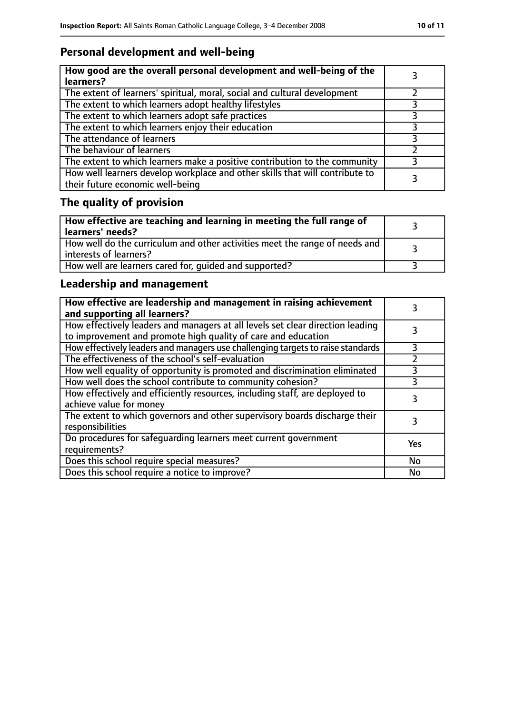## **Personal development and well-being**

| How good are the overall personal development and well-being of the<br>learners?                                 |  |
|------------------------------------------------------------------------------------------------------------------|--|
| The extent of learners' spiritual, moral, social and cultural development                                        |  |
| The extent to which learners adopt healthy lifestyles                                                            |  |
| The extent to which learners adopt safe practices                                                                |  |
| The extent to which learners enjoy their education                                                               |  |
| The attendance of learners                                                                                       |  |
| The behaviour of learners                                                                                        |  |
| The extent to which learners make a positive contribution to the community                                       |  |
| How well learners develop workplace and other skills that will contribute to<br>their future economic well-being |  |

## **The quality of provision**

| How effective are teaching and learning in meeting the full range of<br>learners' needs?              |  |
|-------------------------------------------------------------------------------------------------------|--|
| How well do the curriculum and other activities meet the range of needs and<br>interests of learners? |  |
| How well are learners cared for, quided and supported?                                                |  |

## **Leadership and management**

| How effective are leadership and management in raising achievement<br>and supporting all learners?                                              |               |
|-------------------------------------------------------------------------------------------------------------------------------------------------|---------------|
| How effectively leaders and managers at all levels set clear direction leading<br>to improvement and promote high quality of care and education |               |
| How effectively leaders and managers use challenging targets to raise standards                                                                 | 3             |
| The effectiveness of the school's self-evaluation                                                                                               | $\mathcal{P}$ |
| How well equality of opportunity is promoted and discrimination eliminated                                                                      | 3             |
| How well does the school contribute to community cohesion?                                                                                      | 3             |
| How effectively and efficiently resources, including staff, are deployed to<br>achieve value for money                                          |               |
| The extent to which governors and other supervisory boards discharge their<br>responsibilities                                                  | 3             |
| Do procedures for safequarding learners meet current government<br>requirements?                                                                | Yes           |
| Does this school require special measures?                                                                                                      | No            |
| Does this school require a notice to improve?                                                                                                   | No            |